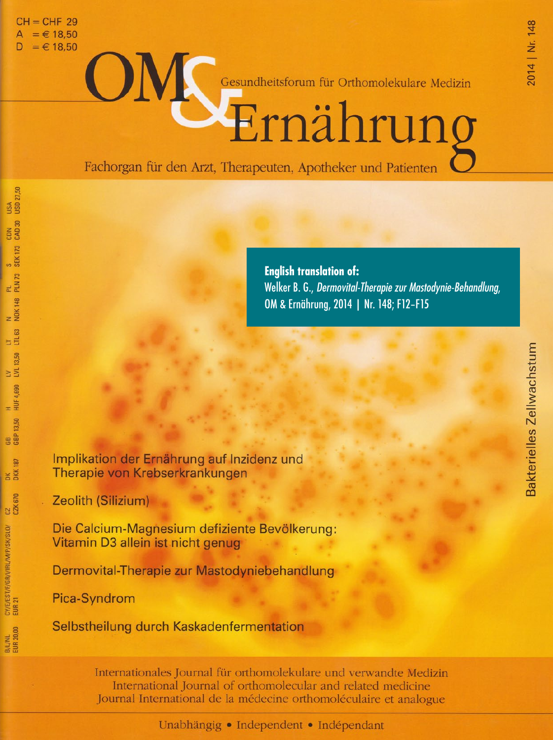$CH = CHF 29$  $= 618.50$  $= 6 18.50$ 

USA<br>USD 27.50

CDN<br>CAD 30

 $rac{S}{SEK}$  173

PL<br>PLN73

N<br>NOK 148

 $\frac{17}{1163}$ 

LV<br>LVL 13.50

H<br>HUF 4,690

13.50  $\frac{1}{3B}$ 

187

**DKK** 

CZ<br>CZK 670

CY/E/EST/F/GR/I/IRL/M/P/SK/SLO/<br>EUR 21

B/L/NL<br>EUR 20.00

ON Gesundheitsforum für Orthomolekulare Medizin

Fachorgan für den Arzt, Therapeuten, Apotheker und Patienten

**English translation of:** Welker B. G., Dermovital-Therapie zur Mastodynie-Behandlung, OM & Ernährung, 2014 | Nr. 148; F12-F15

Implikation der Ernährung auf Inzidenz und Therapie von Krebserkrankungen

Zeolith (Silizium)

Die Calcium-Magnesium defiziente Bevölkerung: Vitamin D3 allein ist nicht genug

Dermovital-Therapie zur Mastodyniebehandlung

Pica-Syndrom

Selbstheilung durch Kaskadenfermentation

Internationales Journal für orthomolekulare und verwandte Medizin International Journal of orthomolecular and related medicine Journal International de la médecine orthomoléculaire et analogue

Unabhängig • Independent • Indépendant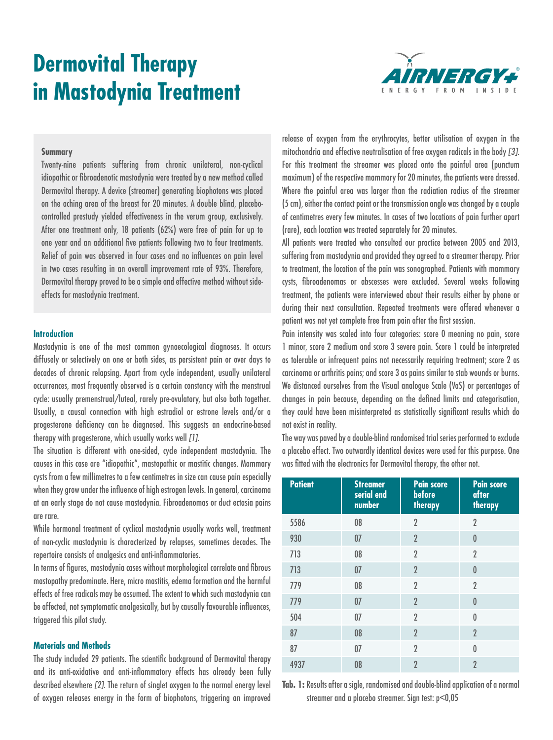# **Dermovital Therapy in Mastodynia Treatment**



#### **Summary**

Twenty-nine patients suffering from chronic unilateral, non-cyclical idiopathic or fibroadenotic mastodynia were treated by a new method called Dermovital therapy. A device (streamer) generating biophotons was placed on the aching area of the breast for 20 minutes. A double blind, placebocontrolled prestudy yielded effectiveness in the verum group, exclusively. After one treatment only, 18 patients (62%) were free of pain for up to one year and an additional five patients following two to four treatments. Relief of pain was observed in four cases and no influences on pain level in two cases resulting in an overall improvement rate of 93%. Therefore, Dermovital therapy proved to be a simple and effective method without sideeffects for mastodynia treatment.

#### **Introduction**

Mastodynia is one of the most common gynaecological diagnoses. It occurs diffusely or selectively on one or both sides, as persistent pain or over days to decades of chronic relapsing. Apart from cycle independent, usually unilateral occurrences, most frequently observed is a certain constancy with the menstrual cycle: usually premenstrual/luteal, rarely pre-ovulatory, but also both together. Usually, a causal connection with high estradiol or estrone levels and/or a progesterone deficiency can be diagnosed. This suggests an endocrine-based therapy with progesterone, which usually works well *[1]*.

The situation is different with one-sided, cycle independent mastodynia. The causes in this case are "idiopathic", mastopathic or mastitic changes. Mammary cysts from a few millimetres to a few centimetres in size can cause pain especially when they grow under the influence of high estrogen levels. In general, carcinoma at an early stage do not cause mastodynia. Fibroadenomas or duct ectasia pains are rare.

While hormonal treatment of cyclical mastodynia usually works well, treatment of non-cyclic mastodynia is characterized by relapses, sometimes decades. The repertoire consists of analgesics and anti-inflammatories.

In terms of figures, mastodynia cases without morphological correlate and fibrous mastopathy predominate. Here, micro mastitis, edema formation and the harmful effects of free radicals may be assumed. The extent to which such mastodynia can be affected, not symptomatic analgesically, but by causally favourable influences, triggered this pilot study.

#### **Materials and Methods**

The study included 29 patients. The scientific background of Dermovital therapy and its anti-oxidative and anti-inflammatory effects has already been fully described elsewhere *[2]*. The return of singlet oxygen to the normal energy level of oxygen releases energy in the form of biophotons, triggering an improved

release of oxygen from the erythrocytes, better utilisation of oxygen in the mitochondria and effective neutralisation of free oxygen radicals in the body *[3]*. For this treatment the streamer was placed onto the painful area (punctum maximum) of the respective mammary for 20 minutes, the patients were dressed. Where the painful area was larger than the radiation radius of the streamer (5 cm), either the contact point or the transmission angle was changed by a couple of centimetres every few minutes. In cases of two locations of pain further apart (rare), each location was treated separately for 20 minutes.

All patients were treated who consulted our practice between 2005 and 2013, suffering from mastodynia and provided they agreed to a streamer therapy. Prior to treatment, the location of the pain was sonographed. Patients with mammary cysts, fibroadenomas or abscesses were excluded. Several weeks following treatment, the patients were interviewed about their results either by phone or during their next consultation. Repeated treatments were offered whenever a patient was not yet complete free from pain after the first session.

Pain intensity was scaled into four categories: score 0 meaning no pain, score 1 minor, score 2 medium and score 3 severe pain. Score 1 could be interpreted as tolerable or infrequent pains not necessarily requiring treatment; score 2 as carcinoma or arthritis pains; and score 3 as pains similar to stab wounds or burns. We distanced ourselves from the Visual analogue Scale (VaS) or percentages of changes in pain because, depending on the defined limits and categorisation, they could have been misinterpreted as statistically significant results which do not exist in reality.

The way was paved by a double-blind randomised trial series performed to exclude a placebo effect. Two outwardly identical devices were used for this purpose. One was fitted with the electronics for Dermovital therapy, the other not.

| <b>Patient</b> | <b>Streamer</b><br>serial end<br>number | <b>Pain score</b><br>before<br>therapy | <b>Pain score</b><br>after<br>therapy |
|----------------|-----------------------------------------|----------------------------------------|---------------------------------------|
| 5586           | 08                                      | $\overline{2}$                         | $\overline{2}$                        |
| 930            | 07                                      | $\overline{2}$                         | 0                                     |
| 713            | 08                                      | $\overline{2}$                         | $\overline{2}$                        |
| 713            | 07                                      | $\overline{2}$                         | $\mathbf{0}$                          |
| 779            | 08                                      | $\overline{2}$                         | $\overline{2}$                        |
| 779            | 07                                      | $\overline{2}$                         | $\mathbf{0}$                          |
| 504            | 07                                      | $\overline{2}$                         | $\theta$                              |
| 87             | 08                                      | $\overline{2}$                         | $\overline{2}$                        |
| 87             | 07                                      | $\overline{2}$                         | $\theta$                              |
| 4937           | 08                                      | $\overline{2}$                         | $\overline{2}$                        |

**Tab. 1:** Results after a sigle, randomised and double-blind application of a normal streamer and a placebo streamer. Sign test: p<0,05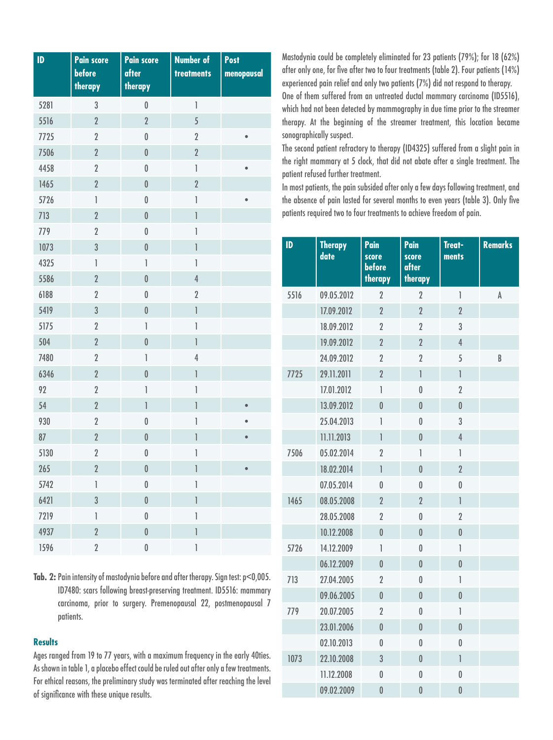| ID   | <b>Pain score</b><br>before    | <b>Pain score</b><br>after            | <b>Number of</b><br>treatments                                                                                                                                                                                                                                                                                                                                                                                 | Post<br>menopausal |
|------|--------------------------------|---------------------------------------|----------------------------------------------------------------------------------------------------------------------------------------------------------------------------------------------------------------------------------------------------------------------------------------------------------------------------------------------------------------------------------------------------------------|--------------------|
|      | therapy                        | therapy                               |                                                                                                                                                                                                                                                                                                                                                                                                                |                    |
| 5281 | $\sqrt{3}$                     | $\pmb{0}$                             | $\begin{array}{c} \end{array}$                                                                                                                                                                                                                                                                                                                                                                                 |                    |
| 5516 | $\overline{2}$                 | $\overline{2}$                        | 5                                                                                                                                                                                                                                                                                                                                                                                                              |                    |
| 7725 | $\overline{2}$                 | $\pmb{0}$                             | $\sqrt{2}$                                                                                                                                                                                                                                                                                                                                                                                                     | $\bullet$          |
| 7506 | $\overline{2}$                 | $\mathbf{0}$                          | $\overline{2}$                                                                                                                                                                                                                                                                                                                                                                                                 |                    |
| 4458 | $\overline{2}$                 | $\mathbf{0}$                          | $\begin{array}{c} \rule{0pt}{2.5ex} \rule{0pt}{2.5ex} \rule{0pt}{2.5ex} \rule{0pt}{2.5ex} \rule{0pt}{2.5ex} \rule{0pt}{2.5ex} \rule{0pt}{2.5ex} \rule{0pt}{2.5ex} \rule{0pt}{2.5ex} \rule{0pt}{2.5ex} \rule{0pt}{2.5ex} \rule{0pt}{2.5ex} \rule{0pt}{2.5ex} \rule{0pt}{2.5ex} \rule{0pt}{2.5ex} \rule{0pt}{2.5ex} \rule{0pt}{2.5ex} \rule{0pt}{2.5ex} \rule{0pt}{2.5ex} \rule{0$                               | $\bullet$          |
| 1465 | $\overline{2}$                 | $\pmb{0}$                             | $\overline{2}$                                                                                                                                                                                                                                                                                                                                                                                                 |                    |
| 5726 | 1                              | $\mathbf 0$                           | $\begin{array}{c} \rule{0pt}{2.5ex} \rule{0pt}{2.5ex} \rule{0pt}{2.5ex} \rule{0pt}{2.5ex} \rule{0pt}{2.5ex} \rule{0pt}{2.5ex} \rule{0pt}{2.5ex} \rule{0pt}{2.5ex} \rule{0pt}{2.5ex} \rule{0pt}{2.5ex} \rule{0pt}{2.5ex} \rule{0pt}{2.5ex} \rule{0pt}{2.5ex} \rule{0pt}{2.5ex} \rule{0pt}{2.5ex} \rule{0pt}{2.5ex} \rule{0pt}{2.5ex} \rule{0pt}{2.5ex} \rule{0pt}{2.5ex} \rule{0$                               | $\bullet$          |
| 713  | $\overline{2}$                 | $\pmb{0}$                             | $\mathbb{I}$                                                                                                                                                                                                                                                                                                                                                                                                   |                    |
| 779  | $\overline{2}$                 | $\pmb{0}$                             | $\begin{array}{c} \hline \end{array}$                                                                                                                                                                                                                                                                                                                                                                          |                    |
| 1073 | 3                              | $\pmb{0}$                             | $\begin{array}{c} \end{array}$                                                                                                                                                                                                                                                                                                                                                                                 |                    |
| 4325 | $\begin{array}{c} \end{array}$ | $\begin{array}{c} \end{array}$        | $\begin{array}{c} \rule{0pt}{2.5ex} \rule{0pt}{2.5ex} \rule{0pt}{2.5ex} \rule{0pt}{2.5ex} \rule{0pt}{2.5ex} \rule{0pt}{2.5ex} \rule{0pt}{2.5ex} \rule{0pt}{2.5ex} \rule{0pt}{2.5ex} \rule{0pt}{2.5ex} \rule{0pt}{2.5ex} \rule{0pt}{2.5ex} \rule{0pt}{2.5ex} \rule{0pt}{2.5ex} \rule{0pt}{2.5ex} \rule{0pt}{2.5ex} \rule{0pt}{2.5ex} \rule{0pt}{2.5ex} \rule{0pt}{2.5ex} \rule{0$                               |                    |
| 5586 | $\overline{2}$                 | $\pmb{0}$                             | $\overline{4}$                                                                                                                                                                                                                                                                                                                                                                                                 |                    |
| 6188 | $\overline{2}$                 | $\pmb{0}$                             | $\overline{2}$                                                                                                                                                                                                                                                                                                                                                                                                 |                    |
| 5419 | 3                              | $\pmb{0}$                             | $\,$ $\,$                                                                                                                                                                                                                                                                                                                                                                                                      |                    |
| 5175 | $\overline{2}$                 | $\begin{array}{c} \hline \end{array}$ | $\begin{array}{c} \hline \end{array}$                                                                                                                                                                                                                                                                                                                                                                          |                    |
| 504  | $\overline{2}$                 | $\mathbf{0}$                          | $\begin{array}{c} \rule{0pt}{2ex} \rule{0pt}{2ex} \rule{0pt}{2ex} \rule{0pt}{2ex} \rule{0pt}{2ex} \rule{0pt}{2ex} \rule{0pt}{2ex} \rule{0pt}{2ex} \rule{0pt}{2ex} \rule{0pt}{2ex} \rule{0pt}{2ex} \rule{0pt}{2ex} \rule{0pt}{2ex} \rule{0pt}{2ex} \rule{0pt}{2ex} \rule{0pt}{2ex} \rule{0pt}{2ex} \rule{0pt}{2ex} \rule{0pt}{2ex} \rule{0pt}{2ex} \rule{0pt}{2ex} \rule{0pt}{2ex} \rule{0pt}{2ex} \rule{0pt}{$ |                    |
| 7480 | $\overline{2}$                 | $\overline{1}$                        | $\overline{4}$                                                                                                                                                                                                                                                                                                                                                                                                 |                    |
| 6346 | $\overline{2}$                 | $\bf{0}$                              | $\begin{array}{c} \hline \end{array}$                                                                                                                                                                                                                                                                                                                                                                          |                    |
| 92   | $\overline{2}$                 | $\begin{array}{c} \hline \end{array}$ | $\begin{array}{c} \end{array}$                                                                                                                                                                                                                                                                                                                                                                                 |                    |
| 54   | $\overline{2}$                 | $\begin{array}{c} \hline \end{array}$ | $\begin{array}{c} \rule{0pt}{2ex} \rule{0pt}{2ex} \rule{0pt}{2ex} \rule{0pt}{2ex} \rule{0pt}{2ex} \rule{0pt}{2ex} \rule{0pt}{2ex} \rule{0pt}{2ex} \rule{0pt}{2ex} \rule{0pt}{2ex} \rule{0pt}{2ex} \rule{0pt}{2ex} \rule{0pt}{2ex} \rule{0pt}{2ex} \rule{0pt}{2ex} \rule{0pt}{2ex} \rule{0pt}{2ex} \rule{0pt}{2ex} \rule{0pt}{2ex} \rule{0pt}{2ex} \rule{0pt}{2ex} \rule{0pt}{2ex} \rule{0pt}{2ex} \rule{0pt}{$ | $\bullet$          |
| 930  | $\overline{2}$                 | $\pmb{0}$                             | 1                                                                                                                                                                                                                                                                                                                                                                                                              | $\bullet$          |
| 87   | $\overline{2}$                 | $\pmb{0}$                             | $\overline{\mathbb{I}}$                                                                                                                                                                                                                                                                                                                                                                                        | $\bullet$          |
| 5130 | $\overline{2}$                 | $\bf{0}$                              | 1                                                                                                                                                                                                                                                                                                                                                                                                              |                    |
| 265  | $\overline{2}$                 | $\pmb{0}$                             | 1                                                                                                                                                                                                                                                                                                                                                                                                              |                    |
| 5742 | 1                              | $\pmb{0}$                             | 1                                                                                                                                                                                                                                                                                                                                                                                                              |                    |
| 6421 | 3                              | $\bf{0}$                              | $\begin{array}{c} \end{array}$                                                                                                                                                                                                                                                                                                                                                                                 |                    |
| 7219 | 1                              | $\pmb{0}$                             | 1                                                                                                                                                                                                                                                                                                                                                                                                              |                    |
| 4937 | $\overline{2}$                 | $\bf{0}$                              | $\overline{\mathbb{I}}$                                                                                                                                                                                                                                                                                                                                                                                        |                    |
| 1596 | $\overline{2}$                 | $\pmb{0}$                             | $\mathbb{I}$                                                                                                                                                                                                                                                                                                                                                                                                   |                    |

**Tab. 2:** Pain intensity of mastodynia before and after therapy. Sign test: p<0,005. ID7480: scars following breast-preserving treatment. ID5516: mammary carcinoma, prior to surgery. Premenopausal 22, postmenopausal 7 patients.

## **Results**

Ages ranged from 19 to 77 years, with a maximum frequency in the early 40ties. As shown in table 1, a placebo effect could be ruled out after only a few treatments. For ethical reasons, the preliminary study was terminated after reaching the level of significance with these unique results.

Mastodynia could be completely eliminated for 23 patients (79%); for 18 (62%) after only one, for five after two to four treatments (table 2). Four patients (14%) experienced pain relief and only two patients (7%) did not respond to therapy. One of them suffered from an untreated ductal mammary carcinoma (ID5516), which had not been detected by mammography in due time prior to the streamer therapy. At the beginning of the streamer treatment, this location became

The second patient refractory to therapy (ID4325) suffered from a slight pain in the right mammary at 5 clock, that did not abate after a single treatment. The patient refused further treatment.

sonographically suspect.

In most patients, the pain subsided after only a few days following treatment, and the absence of pain lasted for several months to even years (table 3). Only five patients required two to four treatments to achieve freedom of pain.

| ID   | <b>Therapy</b><br>date | Pain<br>score<br>before<br>therapy | Pain<br>score<br>after<br>therapy | Treat-<br>ments                                                                                                                                                                                                                                                                                                                                                                                                | <b>Remarks</b> |
|------|------------------------|------------------------------------|-----------------------------------|----------------------------------------------------------------------------------------------------------------------------------------------------------------------------------------------------------------------------------------------------------------------------------------------------------------------------------------------------------------------------------------------------------------|----------------|
| 5516 | 09.05.2012             | $\overline{2}$                     | $\overline{2}$                    | $\overline{1}$                                                                                                                                                                                                                                                                                                                                                                                                 | A              |
|      | 17.09.2012             | $\overline{2}$                     | $\overline{2}$                    | $\overline{2}$                                                                                                                                                                                                                                                                                                                                                                                                 |                |
|      | 18.09.2012             | $\overline{2}$                     | $\overline{2}$                    | 3                                                                                                                                                                                                                                                                                                                                                                                                              |                |
|      | 19.09.2012             | $\overline{2}$                     | $\overline{2}$                    | 4                                                                                                                                                                                                                                                                                                                                                                                                              |                |
|      | 24.09.2012             | $\overline{2}$                     | $\overline{2}$                    | 5                                                                                                                                                                                                                                                                                                                                                                                                              | B              |
| 7725 | 29.11.2011             | $\overline{2}$                     | Ĭ.                                | $\overline{1}$                                                                                                                                                                                                                                                                                                                                                                                                 |                |
|      | 17.01.2012             | 1                                  | $\pmb{0}$                         | $\overline{2}$                                                                                                                                                                                                                                                                                                                                                                                                 |                |
|      | 13.09.2012             | $\overline{0}$                     | $\bf{0}$                          | $\overline{0}$                                                                                                                                                                                                                                                                                                                                                                                                 |                |
|      | 25.04.2013             | 1                                  | $\pmb{0}$                         | 3                                                                                                                                                                                                                                                                                                                                                                                                              |                |
|      | 11.11.2013             | $\overline{1}$                     | $\bf{0}$                          | $\overline{4}$                                                                                                                                                                                                                                                                                                                                                                                                 |                |
| 7506 | 05.02.2014             | $\overline{2}$                     | 1                                 | 1                                                                                                                                                                                                                                                                                                                                                                                                              |                |
|      | 18.02.2014             | $\overline{1}$                     | $\bf{0}$                          | $\overline{2}$                                                                                                                                                                                                                                                                                                                                                                                                 |                |
|      | 07.05.2014             | 0                                  | $\pmb{0}$                         | 0                                                                                                                                                                                                                                                                                                                                                                                                              |                |
| 1465 | 08.05.2008             | $\overline{2}$                     | $\overline{2}$                    | $\overline{1}$                                                                                                                                                                                                                                                                                                                                                                                                 |                |
|      | 28.05.2008             | $\overline{2}$                     | $\pmb{0}$                         | $\overline{2}$                                                                                                                                                                                                                                                                                                                                                                                                 |                |
|      | 10.12.2008             | $\overline{0}$                     | $\mathbf{0}$                      | $\mathbf{0}$                                                                                                                                                                                                                                                                                                                                                                                                   |                |
| 5726 | 14.12.2009             | 1                                  | $\pmb{0}$                         | 1                                                                                                                                                                                                                                                                                                                                                                                                              |                |
|      | 06.12.2009             | $\mathbf{0}$                       | $\pmb{0}$                         | $\mathbf{0}$                                                                                                                                                                                                                                                                                                                                                                                                   |                |
| 713  | 27.04.2005             | $\overline{2}$                     | $\bf{0}$                          | 1                                                                                                                                                                                                                                                                                                                                                                                                              |                |
|      | 09.06.2005             | $\overline{0}$                     | $\mathbf{0}$                      | $\overline{0}$                                                                                                                                                                                                                                                                                                                                                                                                 |                |
| 779  | 20.07.2005             | $\overline{2}$                     | $\bf{0}$                          | $\begin{array}{c} \end{array}$                                                                                                                                                                                                                                                                                                                                                                                 |                |
|      | 23.01.2006             | $\mathbf{0}$                       | $\bf{0}$                          | $\mathbf{0}$                                                                                                                                                                                                                                                                                                                                                                                                   |                |
|      | 02.10.2013             | $\mathbf{0}$                       | $\bf{0}$                          | $\mathbf 0$                                                                                                                                                                                                                                                                                                                                                                                                    |                |
| 1073 | 22.10.2008             | 3                                  | $\mathbf{0}$                      | $\begin{array}{c} \rule{0pt}{2ex} \rule{0pt}{2ex} \rule{0pt}{2ex} \rule{0pt}{2ex} \rule{0pt}{2ex} \rule{0pt}{2ex} \rule{0pt}{2ex} \rule{0pt}{2ex} \rule{0pt}{2ex} \rule{0pt}{2ex} \rule{0pt}{2ex} \rule{0pt}{2ex} \rule{0pt}{2ex} \rule{0pt}{2ex} \rule{0pt}{2ex} \rule{0pt}{2ex} \rule{0pt}{2ex} \rule{0pt}{2ex} \rule{0pt}{2ex} \rule{0pt}{2ex} \rule{0pt}{2ex} \rule{0pt}{2ex} \rule{0pt}{2ex} \rule{0pt}{$ |                |
|      | 11.12.2008             | 0                                  | $\pmb{0}$                         | 0                                                                                                                                                                                                                                                                                                                                                                                                              |                |
|      | 09.02.2009             | $\bf{0}$                           | $\bf{0}$                          | $\overline{0}$                                                                                                                                                                                                                                                                                                                                                                                                 |                |